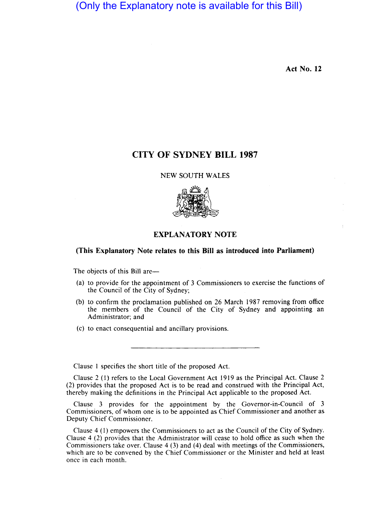(Only the Explanatory note is available for this Bill)

**Act No. 12** 

## **CITY OF SYDNEY BILL 1987**

## NEW SOUTH WALES



## **EXPLANATORY NOTE**

## **(This Explanatory Note relates to this Bill as introduced into Parliament)**

The objects of this Bill are-

- (a) to provide for the appointment of 3 Commissioners to exercise the functions of the Council of the City of Sydney;
- (b) to confirm the proclamation published on 26 March 1987 removing from office the members of the Council of the City of Sydney and appointing an Administrator; and
- (c) to enact consequential and ancillary provisions.

Clause I specifies the short title of the proposed Act.

Clause 2 (I) refers to the Local Government Act 1919 as the Principal Act. Clause 2 (2) provides that the proposed Act is to be read and construed with the Principal Act, thereby making the definitions in the Principal Act applicable to the proposed Act.

Clause 3 provides for the appointment by the Governor-in-Council of 3 Commissioners, of whom one is to be appointed as Chief Commissioner and another as Deputy Chief Commissioner.

Clause 4 (I) empowers the Commissioners to act as the Council of the City of Sydney. Clause 4 (2) provides that the Administrator will cease to hold office as such when the Commissioners take over. Clause 4 (3) and (4) deal with meetings of the Commissioners, which are to be convened by the Chief Commissioner or the Minister and held at least once in each month.